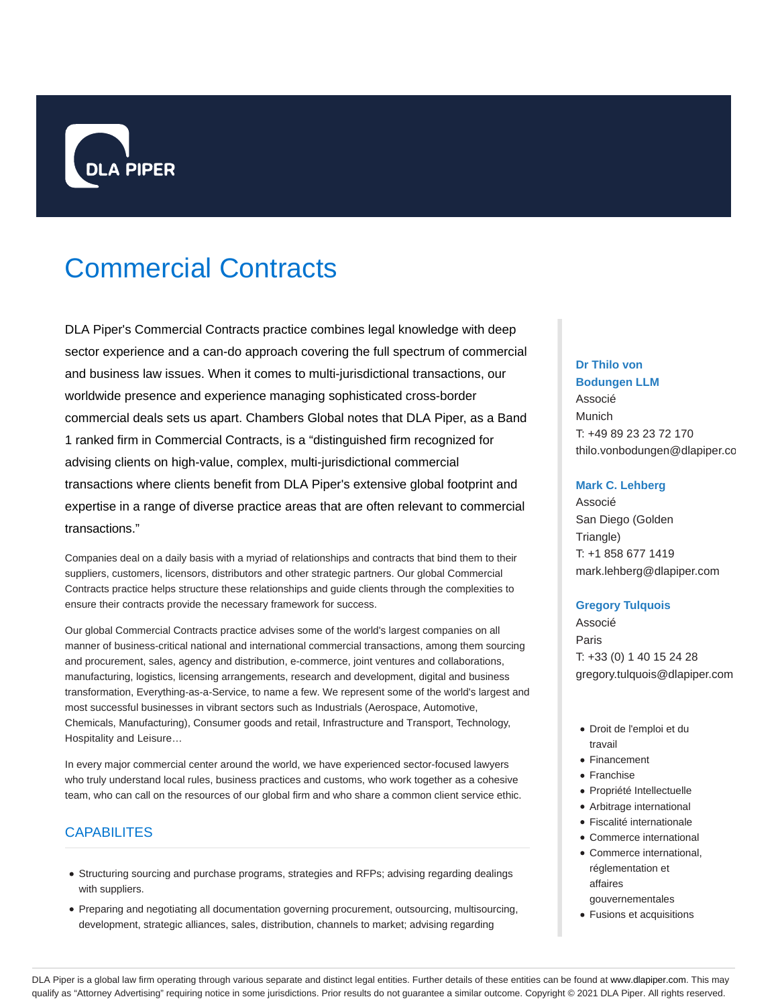

# Commercial Contracts

DLA Piper's Commercial Contracts practice combines legal knowledge with deep sector experience and a can-do approach covering the full spectrum of commercial and business law issues. When it comes to multi-jurisdictional transactions, our worldwide presence and experience managing sophisticated cross-border commercial deals sets us apart. Chambers Global notes that DLA Piper, as a Band 1 ranked firm in Commercial Contracts, is a "distinguished firm recognized for advising clients on high-value, complex, multi-jurisdictional commercial transactions where clients benefit from DLA Piper's extensive global footprint and expertise in a range of diverse practice areas that are often relevant to commercial transactions."

Companies deal on a daily basis with a myriad of relationships and contracts that bind them to their suppliers, customers, licensors, distributors and other strategic partners. Our global Commercial Contracts practice helps structure these relationships and guide clients through the complexities to ensure their contracts provide the necessary framework for success.

Our global Commercial Contracts practice advises some of the world's largest companies on all manner of business-critical national and international commercial transactions, among them sourcing and procurement, sales, agency and distribution, e-commerce, joint ventures and collaborations, manufacturing, logistics, licensing arrangements, research and development, digital and business transformation, Everything-as-a-Service, to name a few. We represent some of the world's largest and most successful businesses in vibrant sectors such as Industrials (Aerospace, Automotive, Chemicals, Manufacturing), Consumer goods and retail, Infrastructure and Transport, Technology, Hospitality and Leisure…

In every major commercial center around the world, we have experienced sector-focused lawyers who truly understand local rules, business practices and customs, who work together as a cohesive team, who can call on the resources of our global firm and who share a common client service ethic.

## **CAPABILITES**

- Structuring sourcing and purchase programs, strategies and RFPs; advising regarding dealings with suppliers.
- Preparing and negotiating all documentation governing procurement, outsourcing, multisourcing, development, strategic alliances, sales, distribution, channels to market; advising regarding

### **Dr Thilo von Bodungen LLM**

Associé Munich T: +49 89 23 23 72 170 thilo.vonbodungen@dlapiper.com

#### **Mark C. Lehberg**

Associé San Diego (Golden Triangle) T: +1 858 677 1419 mark.lehberg@dlapiper.com

## **Gregory Tulquois**

Associé Paris T: +33 (0) 1 40 15 24 28 gregory.tulquois@dlapiper.com

- Droit de l'emploi et du travail
- Financement
- Franchise
- Propriété Intellectuelle
- Arbitrage international
- Fiscalité internationale
- Commerce international
- Commerce international, réglementation et affaires
- gouvernementales Fusions et acquisitions

DLA Piper is a global law firm operating through various separate and distinct legal entities. Further details of these entities can be found at www.dlapiper.com. This may qualify as "Attorney Advertising" requiring notice in some jurisdictions. Prior results do not guarantee a similar outcome. Copyright © 2021 DLA Piper. All rights reserved.